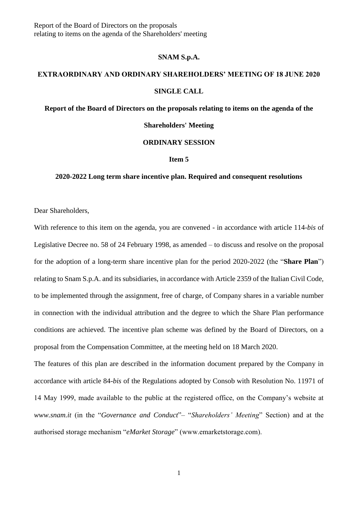Report of the Board of Directors on the proposals relating to items on the agenda of the Shareholders' meeting

### **SNAM S.p.A.**

# **EXTRAORDINARY AND ORDINARY SHAREHOLDERS' MEETING OF 18 JUNE 2020**

#### **SINGLE CALL**

## **Report of the Board of Directors on the proposals relating to items on the agenda of the**

### **Shareholders' Meeting**

## **ORDINARY SESSION**

#### **Item 5**

## **2020-2022 Long term share incentive plan. Required and consequent resolutions**

Dear Shareholders,

With reference to this item on the agenda, you are convened - in accordance with article 114-*bis* of Legislative Decree no. 58 of 24 February 1998, as amended – to discuss and resolve on the proposal for the adoption of a long-term share incentive plan for the period 2020-2022 (the "**Share Plan**") relating to Snam S.p.A. and its subsidiaries, in accordance with Article 2359 of the Italian Civil Code, to be implemented through the assignment, free of charge, of Company shares in a variable number in connection with the individual attribution and the degree to which the Share Plan performance conditions are achieved. The incentive plan scheme was defined by the Board of Directors, on a proposal from the Compensation Committee, at the meeting held on 18 March 2020.

The features of this plan are described in the information document prepared by the Company in accordance with article 84-*bis* of the Regulations adopted by Consob with Resolution No. 11971 of 14 May 1999, made available to the public at the registered office, on the Company's website at *www.snam.it* (in the "*Governance and Conduct*"– "*Shareholders' Meeting*" Section) and at the authorised storage mechanism "*eMarket Storage*" (www.emarketstorage.com).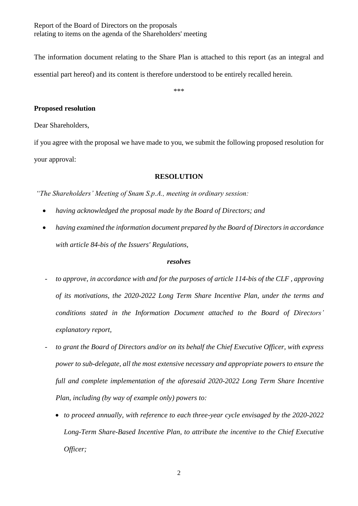Report of the Board of Directors on the proposals relating to items on the agenda of the Shareholders' meeting

The information document relating to the Share Plan is attached to this report (as an integral and essential part hereof) and its content is therefore understood to be entirely recalled herein.

\*\*\*

# **Proposed resolution**

Dear Shareholders,

if you agree with the proposal we have made to you, we submit the following proposed resolution for your approval:

# **RESOLUTION**

*"The Shareholders' Meeting of Snam S.p.A., meeting in ordinary session:*

- *having acknowledged the proposal made by the Board of Directors; and*
- *having examined the information document prepared by the Board of Directors in accordance with article 84-bis of the Issuers' Regulations,*

# *resolves*

- *- to approve, in accordance with and for the purposes of article 114-bis of the CLF , approving of its motivations, the 2020-2022 Long Term Share Incentive Plan, under the terms and conditions stated in the Information Document attached to the Board of Directors' explanatory report,*
- *- to grant the Board of Directors and/or on its behalf the Chief Executive Officer, with express power to sub-delegate, all the most extensive necessary and appropriate powers to ensure the full and complete implementation of the aforesaid 2020-2022 Long Term Share Incentive Plan, including (by way of example only) powers to:* 
	- *to proceed annually, with reference to each three-year cycle envisaged by the 2020-2022 Long-Term Share-Based Incentive Plan, to attribute the incentive to the Chief Executive Officer;*